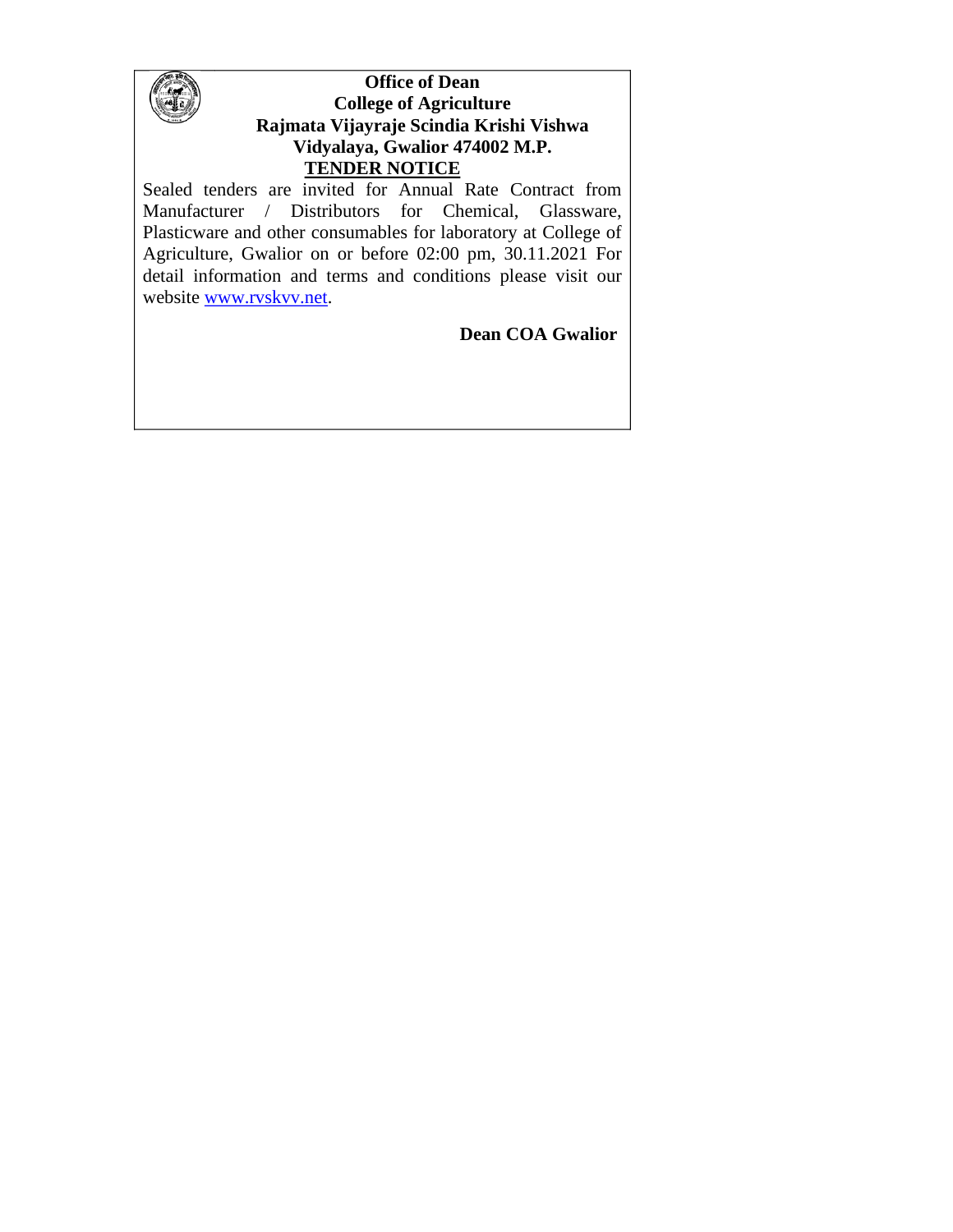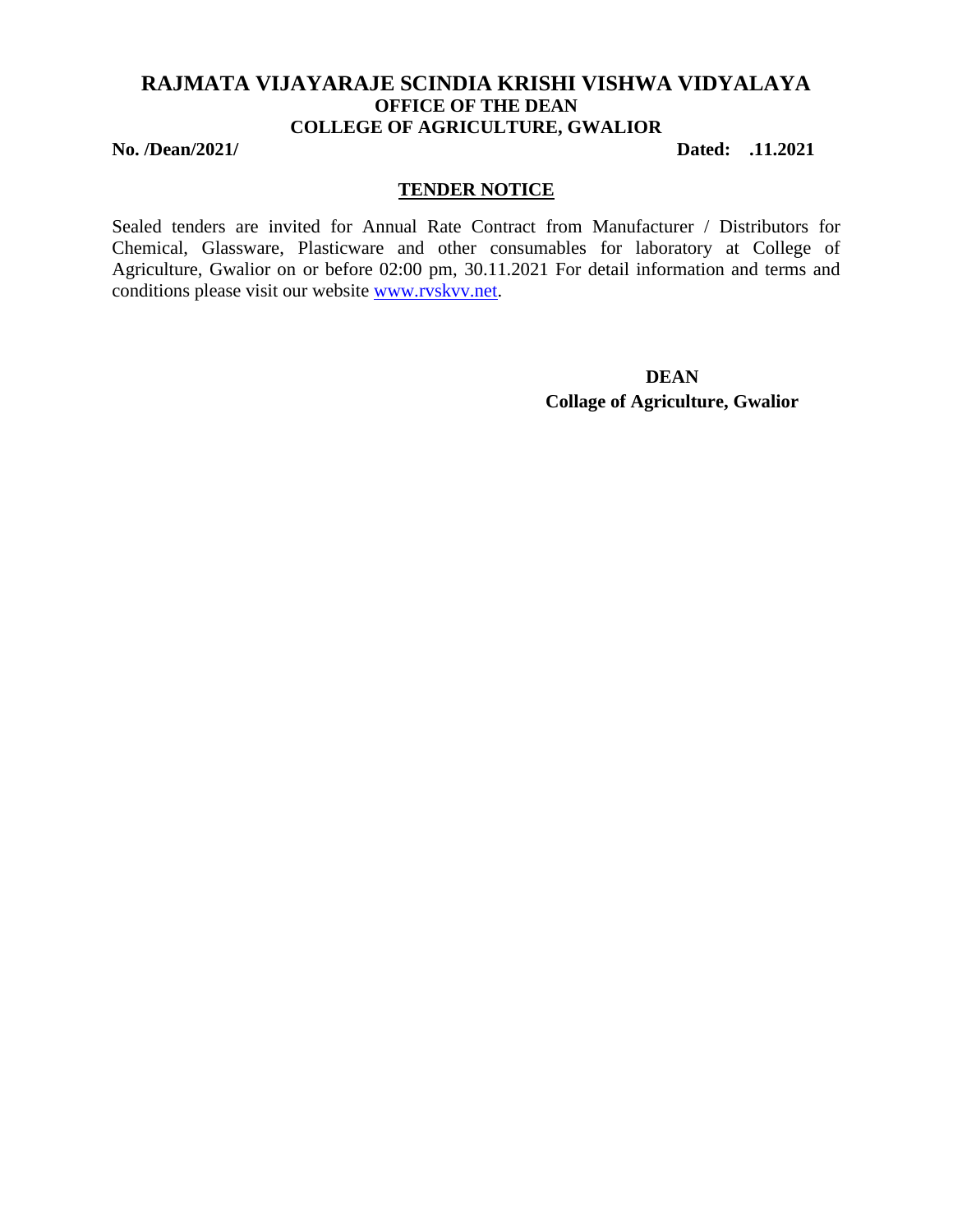### **RAJMATA VIJAYARAJE SCINDIA KRISHI VISHWA VIDYALAYA OFFICE OF THE DEAN COLLEGE OF AGRICULTURE, GWALIOR**

**No. /Dean/2021/ Dated: .11.2021**

#### **TENDER NOTICE**

Sealed tenders are invited for Annual Rate Contract from Manufacturer / Distributors for Chemical, Glassware, Plasticware and other consumables for laboratory at College of Agriculture, Gwalior on or before 02:00 pm, 30.11.2021 For detail information and terms and conditions please visit our website [www.rvskvv.net.](http://www.jnkvv.org/)

> **DEAN Collage of Agriculture, Gwalior**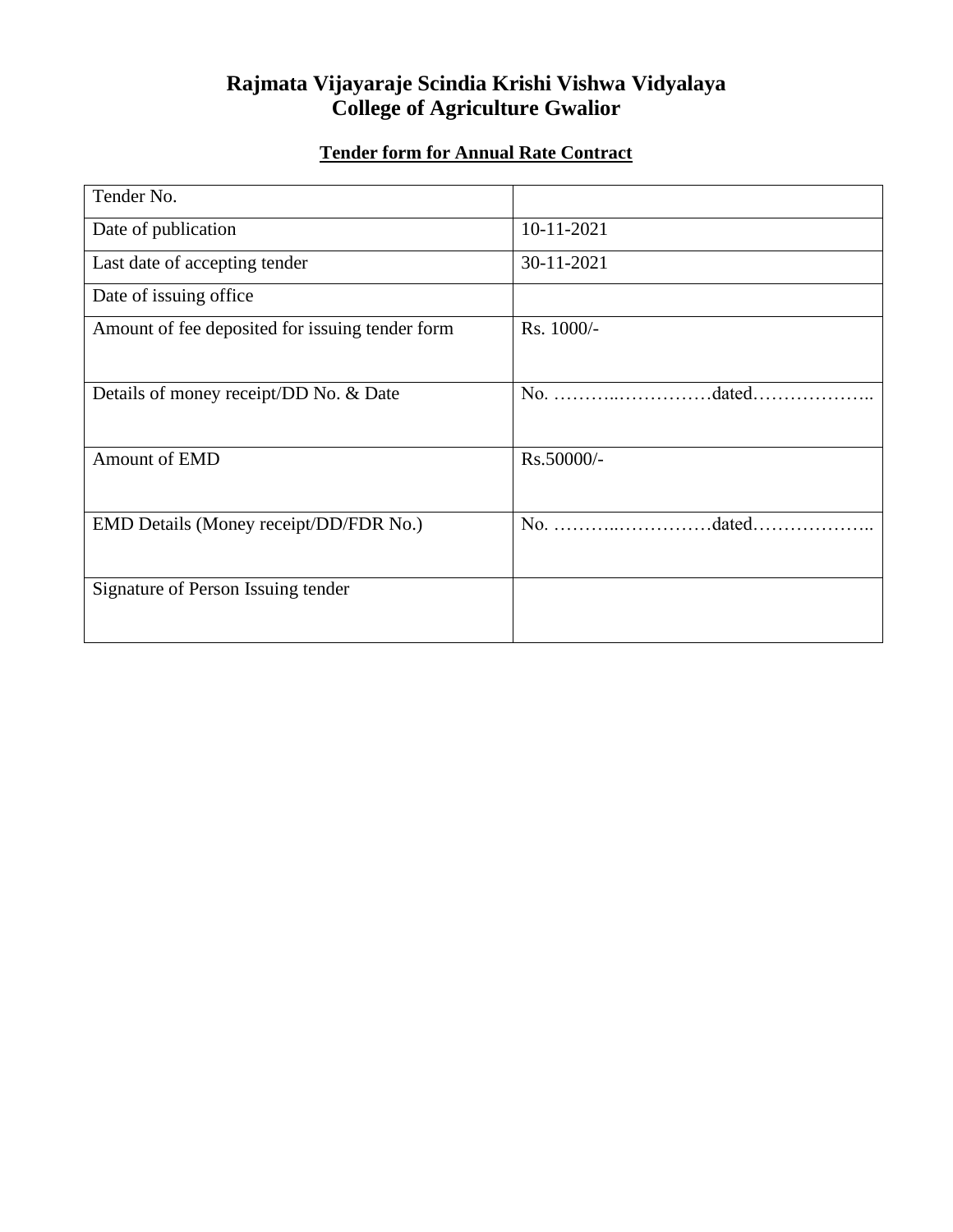# **Rajmata Vijayaraje Scindia Krishi Vishwa Vidyalaya College of Agriculture Gwalior**

# **Tender form for Annual Rate Contract**

| Tender No.                                      |            |
|-------------------------------------------------|------------|
| Date of publication                             | 10-11-2021 |
| Last date of accepting tender                   | 30-11-2021 |
| Date of issuing office.                         |            |
| Amount of fee deposited for issuing tender form | Rs. 1000/- |
| Details of money receipt/DD No. & Date          |            |
| Amount of EMD                                   | Rs.50000/- |
| EMD Details (Money receipt/DD/FDR No.)          |            |
| Signature of Person Issuing tender              |            |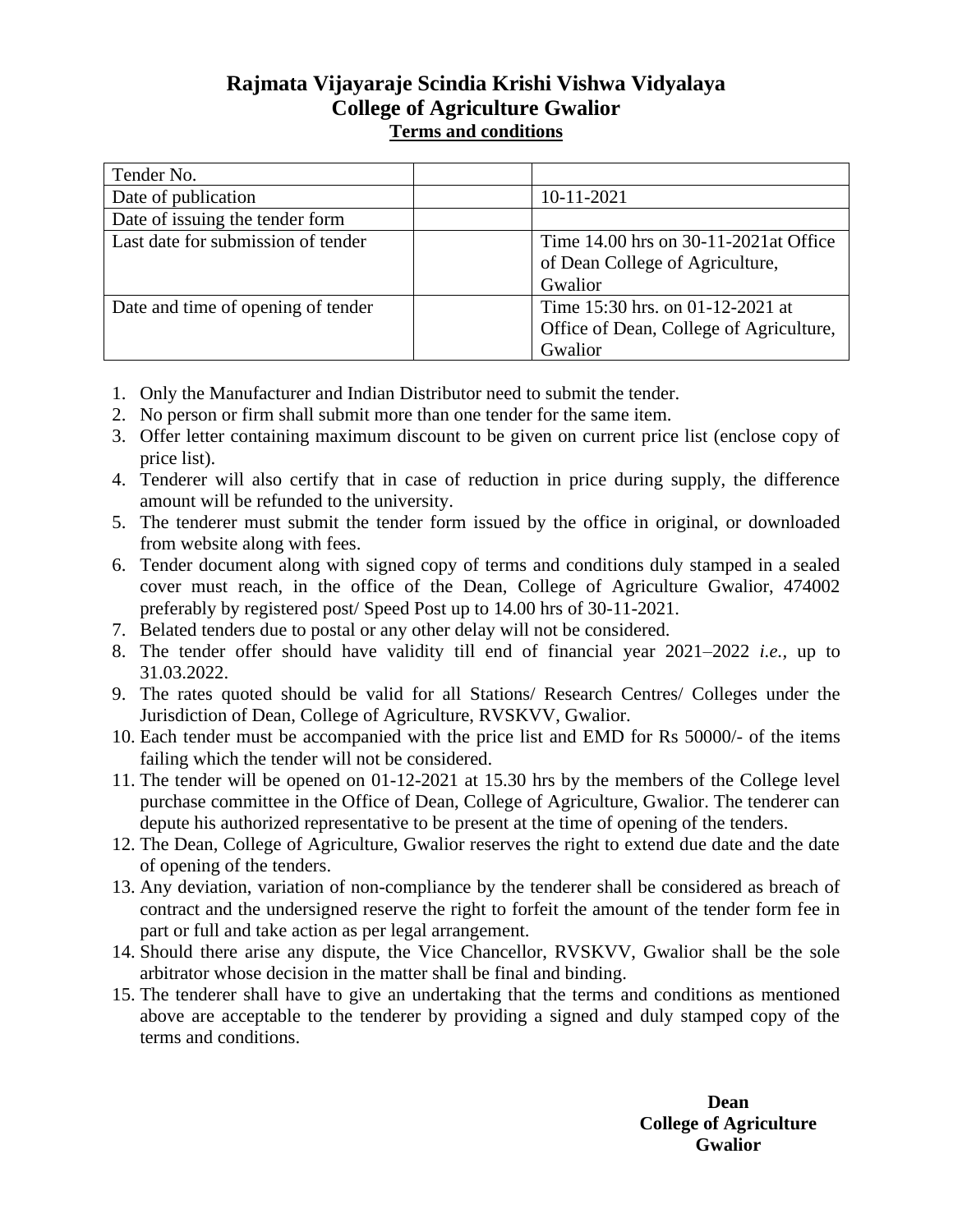# **Rajmata Vijayaraje Scindia Krishi Vishwa Vidyalaya College of Agriculture Gwalior Terms and conditions**

| Tender No.                         |                                         |
|------------------------------------|-----------------------------------------|
| Date of publication                | $10-11-2021$                            |
| Date of issuing the tender form    |                                         |
| Last date for submission of tender | Time 14.00 hrs on 30-11-2021 at Office  |
|                                    | of Dean College of Agriculture,         |
|                                    | Gwalior                                 |
| Date and time of opening of tender | Time 15:30 hrs. on 01-12-2021 at        |
|                                    | Office of Dean, College of Agriculture, |
|                                    | Gwalior                                 |

- 1. Only the Manufacturer and Indian Distributor need to submit the tender.
- 2. No person or firm shall submit more than one tender for the same item.
- 3. Offer letter containing maximum discount to be given on current price list (enclose copy of price list).
- 4. Tenderer will also certify that in case of reduction in price during supply, the difference amount will be refunded to the university.
- 5. The tenderer must submit the tender form issued by the office in original, or downloaded from website along with fees.
- 6. Tender document along with signed copy of terms and conditions duly stamped in a sealed cover must reach, in the office of the Dean, College of Agriculture Gwalior, 474002 preferably by registered post/ Speed Post up to 14.00 hrs of 30-11-2021.
- 7. Belated tenders due to postal or any other delay will not be considered.
- 8. The tender offer should have validity till end of financial year 2021–2022 *i.e.,* up to 31.03.2022.
- 9. The rates quoted should be valid for all Stations/ Research Centres/ Colleges under the Jurisdiction of Dean, College of Agriculture, RVSKVV, Gwalior.
- 10. Each tender must be accompanied with the price list and EMD for Rs 50000/- of the items failing which the tender will not be considered.
- 11. The tender will be opened on 01-12-2021 at 15.30 hrs by the members of the College level purchase committee in the Office of Dean, College of Agriculture, Gwalior. The tenderer can depute his authorized representative to be present at the time of opening of the tenders.
- 12. The Dean, College of Agriculture, Gwalior reserves the right to extend due date and the date of opening of the tenders.
- 13. Any deviation, variation of non-compliance by the tenderer shall be considered as breach of contract and the undersigned reserve the right to forfeit the amount of the tender form fee in part or full and take action as per legal arrangement.
- 14. Should there arise any dispute, the Vice Chancellor, RVSKVV, Gwalior shall be the sole arbitrator whose decision in the matter shall be final and binding.
- 15. The tenderer shall have to give an undertaking that the terms and conditions as mentioned above are acceptable to the tenderer by providing a signed and duly stamped copy of the terms and conditions.

**Dean College of Agriculture Gwalior**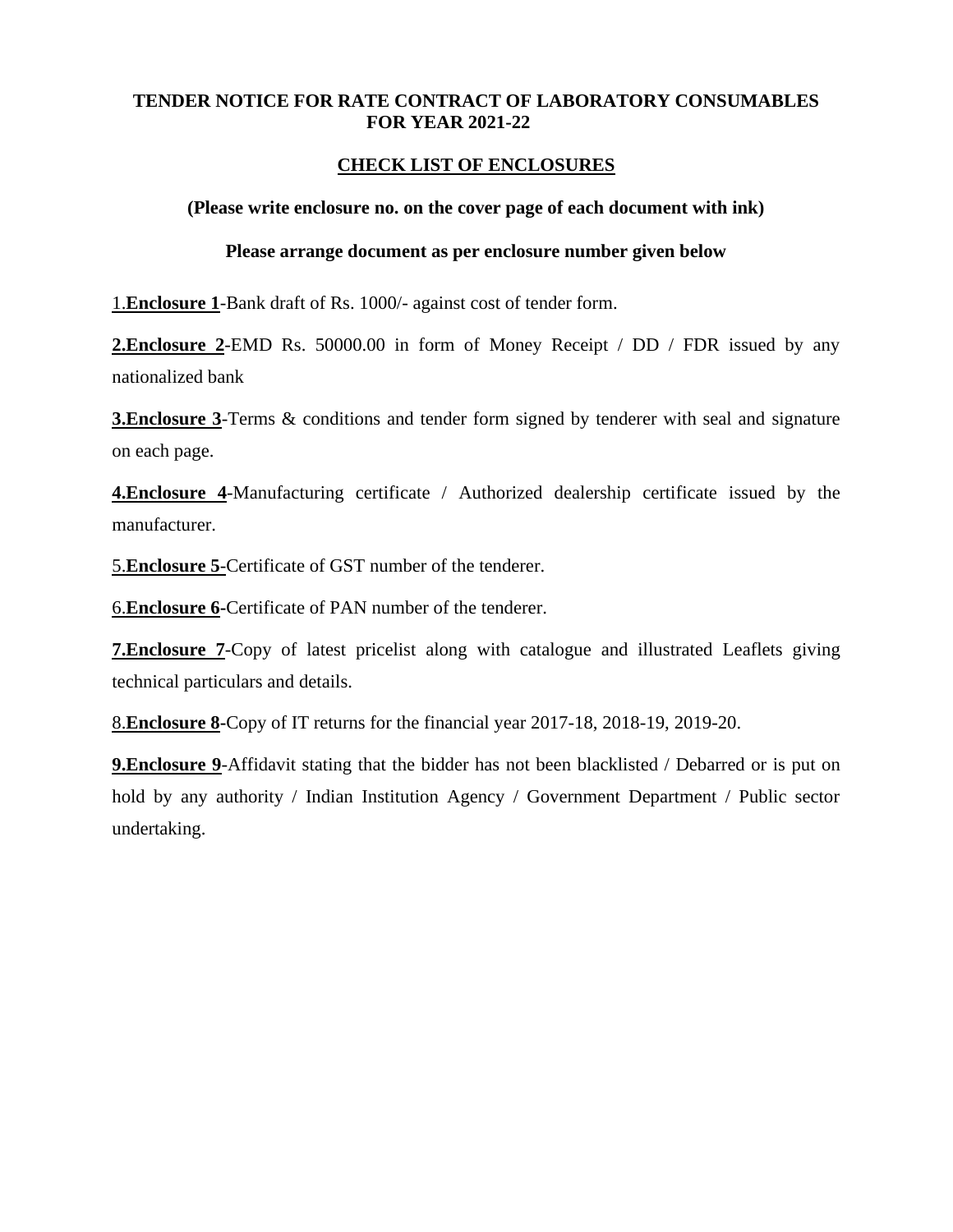#### **TENDER NOTICE FOR RATE CONTRACT OF LABORATORY CONSUMABLES FOR YEAR 2021-22**

#### **CHECK LIST OF ENCLOSURES**

#### **(Please write enclosure no. on the cover page of each document with ink)**

#### **Please arrange document as per enclosure number given below**

1.**Enclosure 1**-Bank draft of Rs. 1000/- against cost of tender form.

**2.Enclosure 2**-EMD Rs. 50000.00 in form of Money Receipt / DD / FDR issued by any nationalized bank

**3. Enclosure 3-Terms & conditions and tender form signed by tenderer with seal and signature** on each page.

**4.Enclosure 4**-Manufacturing certificate / Authorized dealership certificate issued by the manufacturer.

5.**Enclosure 5**-Certificate of GST number of the tenderer.

6.**Enclosure 6-**Certificate of PAN number of the tenderer.

**7. Enclosure 7-Copy** of latest pricelist along with catalogue and illustrated Leaflets giving technical particulars and details.

8.**Enclosure 8-**Copy of IT returns for the financial year 2017-18, 2018-19, 2019-20.

**9. Enclosure 9-Affidavit stating that the bidder has not been blacklisted / Debarred or is put on** hold by any authority / Indian Institution Agency / Government Department / Public sector undertaking.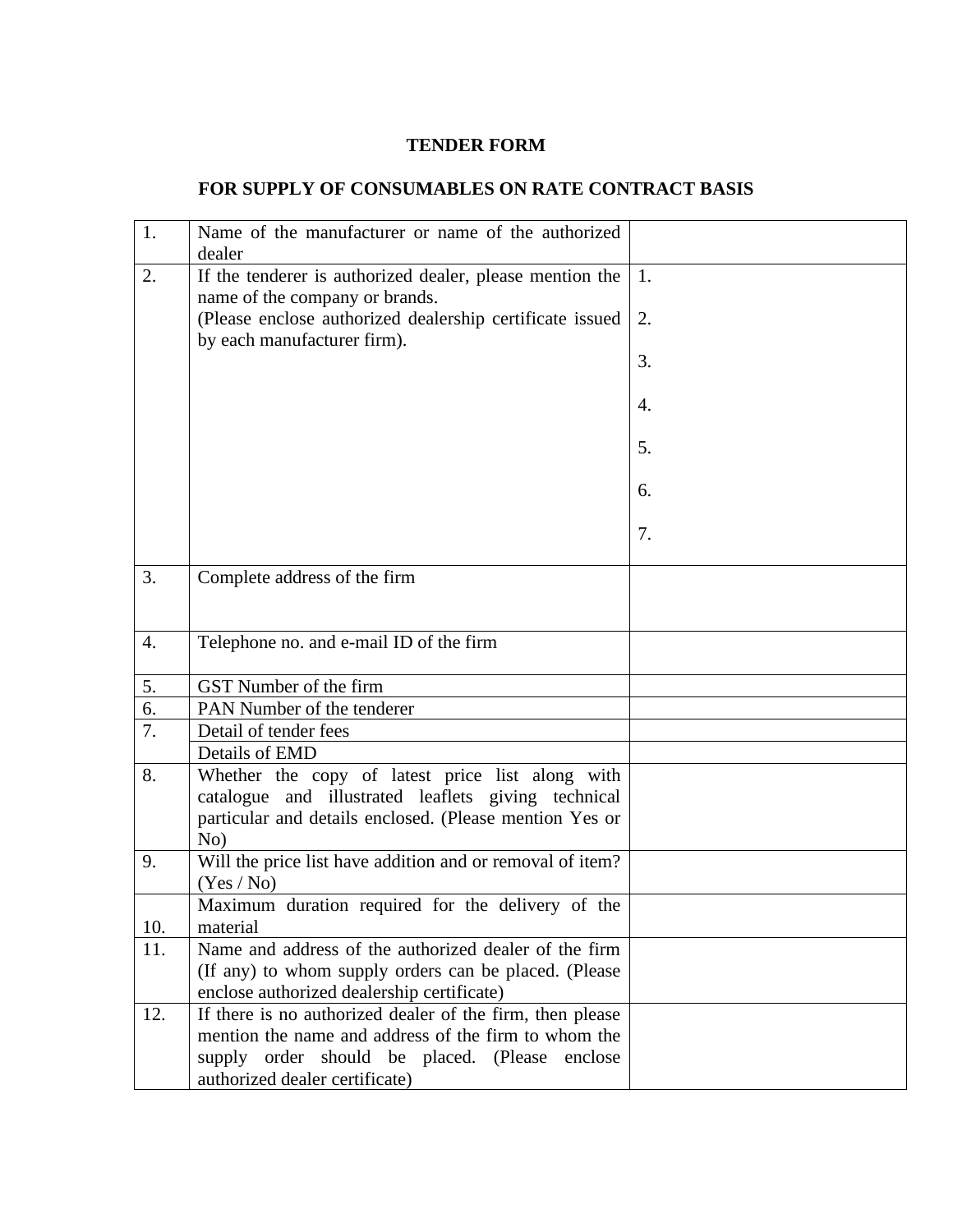## **TENDER FORM**

# **FOR SUPPLY OF CONSUMABLES ON RATE CONTRACT BASIS**

| 1.  | Name of the manufacturer or name of the authorized<br>dealer                               |                  |
|-----|--------------------------------------------------------------------------------------------|------------------|
| 2.  | If the tenderer is authorized dealer, please mention the<br>name of the company or brands. | 1.               |
|     | (Please enclose authorized dealership certificate issued                                   | 2.               |
|     | by each manufacturer firm).                                                                | 3.               |
|     |                                                                                            | $\overline{4}$ . |
|     |                                                                                            | 5.               |
|     |                                                                                            | 6.               |
|     |                                                                                            | 7.               |
| 3.  | Complete address of the firm                                                               |                  |
|     |                                                                                            |                  |
| 4.  | Telephone no. and e-mail ID of the firm                                                    |                  |
| 5.  | GST Number of the firm                                                                     |                  |
| 6.  | PAN Number of the tenderer                                                                 |                  |
| 7.  | Detail of tender fees                                                                      |                  |
|     | Details of EMD                                                                             |                  |
| 8.  | Whether the copy of latest price list along with                                           |                  |
|     | catalogue and illustrated leaflets giving technical                                        |                  |
|     | particular and details enclosed. (Please mention Yes or                                    |                  |
|     | No)                                                                                        |                  |
| 9.  | Will the price list have addition and or removal of item?                                  |                  |
|     | (Yes / No)                                                                                 |                  |
|     | Maximum duration required for the delivery of the                                          |                  |
| 10. | material                                                                                   |                  |
| 11. | Name and address of the authorized dealer of the firm                                      |                  |
|     | (If any) to whom supply orders can be placed. (Please                                      |                  |
|     | enclose authorized dealership certificate)                                                 |                  |
| 12. | If there is no authorized dealer of the firm, then please                                  |                  |
|     | mention the name and address of the firm to whom the                                       |                  |
|     | supply order should be placed. (Please enclose                                             |                  |
|     | authorized dealer certificate)                                                             |                  |